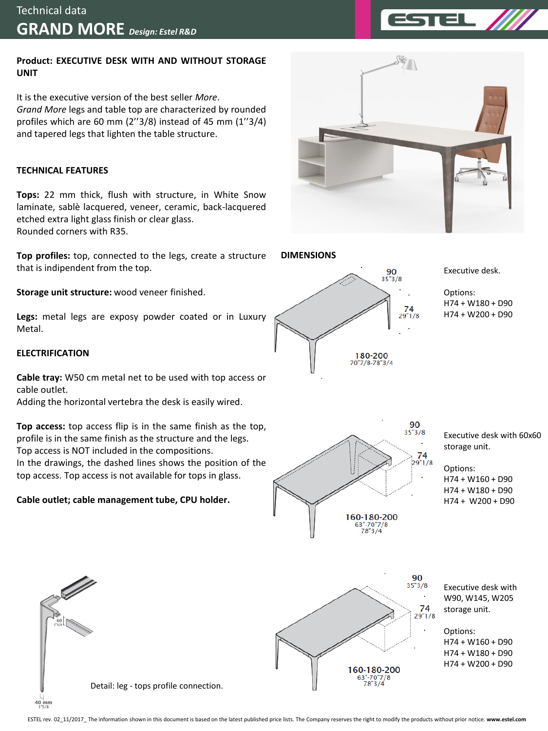## **Product: EXECUTIVE DESK WITH AND WITHOUT STORAGE UNIT**

It is the executive version of the best seller *More*. *Grand More* legs and table top are characterized by rounded profiles which are 60 mm (2''3/8) instead of 45 mm (1''3/4) and tapered legs that lighten the table structure.

# **TECHNICAL FEATURES**

**Tops:** 22 mm thick, flush with structure, in White Snow laminate, sablè lacquered, veneer, ceramic, back-lacquered etched extra light glass finish or clear glass. Rounded corners with R35.

**Top profiles:** top, connected to the legs, create a structure that is indipendent from the top.

**Storage unit structure:** wood veneer finished.

**Legs:** metal legs are exposy powder coated or in Luxury Metal.

# **ELECTRIFICATION**

40 mm

**Cable tray:** W50 cm metal net to be used with top access or cable outlet.

Adding the horizontal vertebra the desk is easily wired.

**Top access:** top access flip is in the same finish as the top, profile is in the same finish as the structure and the legs. Top access is NOT included in the compositions. In the drawings, the dashed lines shows the position of the top access. Top access is not available for tops in glass.

## **Cable outlet; cable management tube, CPU holder.**





Executive desk.

Options: H74 + W180 + D90 H74 + W200 + D90



Executive desk with 60x60 storage unit.

Options: H74 + W160 + D90 H74 + W180 + D90

H74 + W200 + D90

 $\frac{90}{35°3/8}$ 74  $29"1/8$ 160-180-200

Executive desk with W90, W145, W205 storage unit.

Options: H74 + W160 + D90 H74 + W180 + D90 H74 + W200 + D90

Detail: leg - tops profile connection.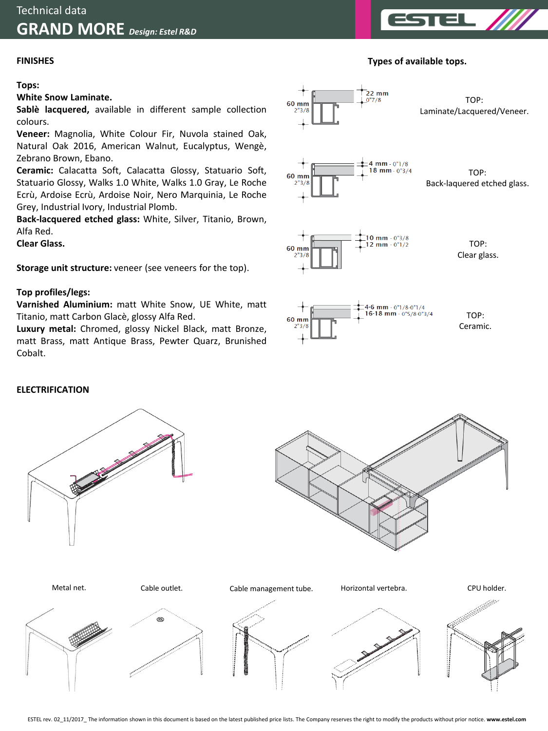### **FINISHES**

**Tops:**

#### **White Snow Laminate.**

**Sablè lacquered,** available in different sample collection colours.

**Veneer:** Magnolia, White Colour Fir, Nuvola stained Oak, Natural Oak 2016, American Walnut, Eucalyptus, Wengè, Zebrano Brown, Ebano.

**Ceramic:** Calacatta Soft, Calacatta Glossy, Statuario Soft, Statuario Glossy, Walks 1.0 White, Walks 1.0 Gray, Le Roche Ecrù, Ardoise Ecrù, Ardoise Noir, Nero Marquinia, Le Roche Grey, Industrial Ivory, Industrial Plomb.

**Back-lacquered etched glass:** White, Silver, Titanio, Brown, Alfa Red.

**Clear Glass.**

**Storage unit structure:** veneer (see veneers for the top).

#### **Top profiles/legs:**

**Varnished Aluminium:** matt White Snow, UE White, matt Titanio, matt Carbon Glacè, glossy Alfa Red.

**Luxury metal:** Chromed, glossy Nickel Black, matt Bronze, matt Brass, matt Antique Brass, Pewter Quarz, Brunished Cobalt.



 $22 \text{ mm}$ 

#### **ELECTRIFICATION**







### **Types of available tops.**